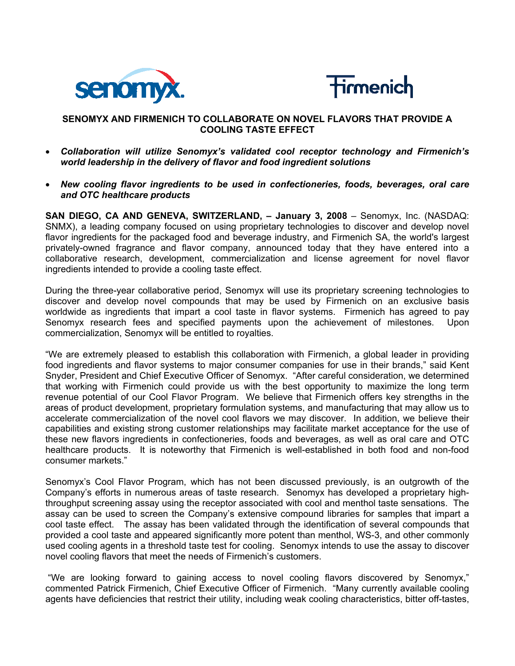



# **SENOMYX AND FIRMENICH TO COLLABORATE ON NOVEL FLAVORS THAT PROVIDE A COOLING TASTE EFFECT**

- *Collaboration will utilize Senomyx's validated cool receptor technology and Firmenich's world leadership in the delivery of flavor and food ingredient solutions*
- *New cooling flavor ingredients to be used in confectioneries, foods, beverages, oral care and OTC healthcare products*

**SAN DIEGO, CA AND GENEVA, SWITZERLAND, - January 3, 2008** - Senomyx, Inc. (NASDAQ: SNMX), a leading company focused on using proprietary technologies to discover and develop novel flavor ingredients for the packaged food and beverage industry, and Firmenich SA, the world's largest privately-owned fragrance and flavor company, announced today that they have entered into a collaborative research, development, commercialization and license agreement for novel flavor ingredients intended to provide a cooling taste effect.

During the three-year collaborative period, Senomyx will use its proprietary screening technologies to discover and develop novel compounds that may be used by Firmenich on an exclusive basis worldwide as ingredients that impart a cool taste in flavor systems. Firmenich has agreed to pay Senomyx research fees and specified payments upon the achievement of milestones. Upon commercialization, Senomyx will be entitled to royalties.

"We are extremely pleased to establish this collaboration with Firmenich, a global leader in providing food ingredients and flavor systems to major consumer companies for use in their brands," said Kent Snyder, President and Chief Executive Officer of Senomyx. "After careful consideration, we determined that working with Firmenich could provide us with the best opportunity to maximize the long term revenue potential of our Cool Flavor Program. We believe that Firmenich offers key strengths in the areas of product development, proprietary formulation systems, and manufacturing that may allow us to accelerate commercialization of the novel cool flavors we may discover. In addition, we believe their capabilities and existing strong customer relationships may facilitate market acceptance for the use of these new flavors ingredients in confectioneries, foods and beverages, as well as oral care and OTC healthcare products. It is noteworthy that Firmenich is well-established in both food and non-food consumer markets."

Senomyx's Cool Flavor Program, which has not been discussed previously, is an outgrowth of the Company's efforts in numerous areas of taste research. Senomyx has developed a proprietary highthroughput screening assay using the receptor associated with cool and menthol taste sensations. The assay can be used to screen the Company's extensive compound libraries for samples that impart a cool taste effect. The assay has been validated through the identification of several compounds that provided a cool taste and appeared significantly more potent than menthol, WS-3, and other commonly used cooling agents in a threshold taste test for cooling. Senomyx intends to use the assay to discover novel cooling flavors that meet the needs of Firmenich's customers.

 "We are looking forward to gaining access to novel cooling flavors discovered by Senomyx," commented Patrick Firmenich, Chief Executive Officer of Firmenich. "Many currently available cooling agents have deficiencies that restrict their utility, including weak cooling characteristics, bitter off-tastes,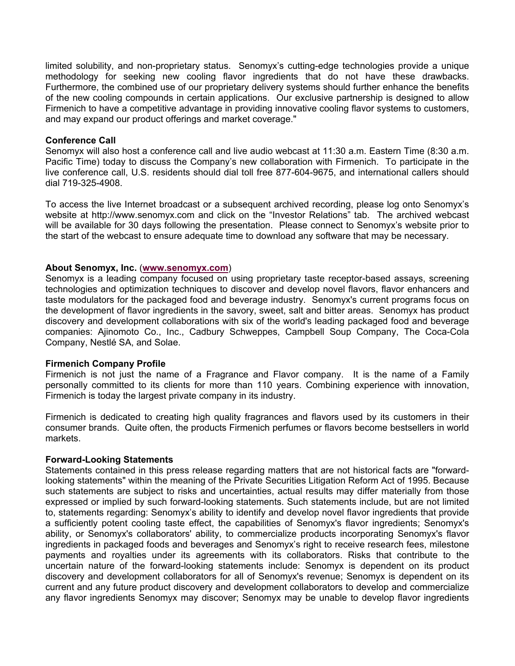limited solubility, and non-proprietary status. Senomyx's cutting-edge technologies provide a unique methodology for seeking new cooling flavor ingredients that do not have these drawbacks. Furthermore, the combined use of our proprietary delivery systems should further enhance the benefits of the new cooling compounds in certain applications. Our exclusive partnership is designed to allow Firmenich to have a competitive advantage in providing innovative cooling flavor systems to customers, and may expand our product offerings and market coverage."

#### **Conference Call**

Senomyx will also host a conference call and live audio webcast at 11:30 a.m. Eastern Time (8:30 a.m. Pacific Time) today to discuss the Company's new collaboration with Firmenich. To participate in the live conference call, U.S. residents should dial toll free 877-604-9675, and international callers should dial 719-325-4908.

To access the live Internet broadcast or a subsequent archived recording, please log onto Senomyx's website at http://www.senomyx.com and click on the "Investor Relations" tab. The archived webcast will be available for 30 days following the presentation. Please connect to Senomyx's website prior to the start of the webcast to ensure adequate time to download any software that may be necessary.

### **About Senomyx, Inc.** (**www.senomyx.com**)

Senomyx is a leading company focused on using proprietary taste receptor-based assays, screening technologies and optimization techniques to discover and develop novel flavors, flavor enhancers and taste modulators for the packaged food and beverage industry. Senomyx's current programs focus on the development of flavor ingredients in the savory, sweet, salt and bitter areas. Senomyx has product discovery and development collaborations with six of the world's leading packaged food and beverage companies: Ajinomoto Co., Inc., Cadbury Schweppes, Campbell Soup Company, The Coca-Cola Company, Nestlé SA, and Solae.

### **Firmenich Company Profile**

Firmenich is not just the name of a Fragrance and Flavor company. It is the name of a Family personally committed to its clients for more than 110 years. Combining experience with innovation, Firmenich is today the largest private company in its industry.

Firmenich is dedicated to creating high quality fragrances and flavors used by its customers in their consumer brands. Quite often, the products Firmenich perfumes or flavors become bestsellers in world markets.

#### **Forward-Looking Statements**

Statements contained in this press release regarding matters that are not historical facts are "forwardlooking statements" within the meaning of the Private Securities Litigation Reform Act of 1995. Because such statements are subject to risks and uncertainties, actual results may differ materially from those expressed or implied by such forward-looking statements. Such statements include, but are not limited to, statements regarding: Senomyx's ability to identify and develop novel flavor ingredients that provide a sufficiently potent cooling taste effect, the capabilities of Senomyx's flavor ingredients; Senomyx's ability, or Senomyx's collaborators' ability, to commercialize products incorporating Senomyx's flavor ingredients in packaged foods and beverages and Senomyx's right to receive research fees, milestone payments and royalties under its agreements with its collaborators. Risks that contribute to the uncertain nature of the forward-looking statements include: Senomyx is dependent on its product discovery and development collaborators for all of Senomyx's revenue; Senomyx is dependent on its current and any future product discovery and development collaborators to develop and commercialize any flavor ingredients Senomyx may discover; Senomyx may be unable to develop flavor ingredients